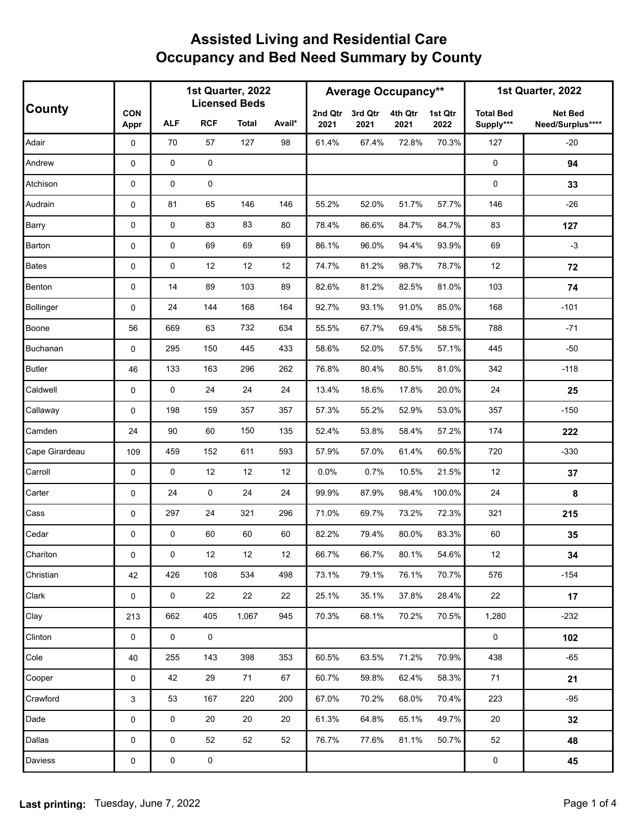|                  |                     | 1st Quarter, 2022<br><b>Licensed Beds</b> |                     |       |        | <b>Average Occupancy**</b> |                 |                 |                 | 1st Quarter, 2022             |                                    |
|------------------|---------------------|-------------------------------------------|---------------------|-------|--------|----------------------------|-----------------|-----------------|-----------------|-------------------------------|------------------------------------|
| <b>County</b>    | <b>CON</b><br>Appr  | <b>ALF</b>                                | <b>RCF</b>          | Total | Avail* | 2nd Qtr<br>2021            | 3rd Qtr<br>2021 | 4th Qtr<br>2021 | 1st Qtr<br>2022 | <b>Total Bed</b><br>Supply*** | <b>Net Bed</b><br>Need/Surplus**** |
| Adair            | 0                   | 70                                        | 57                  | 127   | 98     | 61.4%                      | 67.4%           | 72.8%           | 70.3%           | 127                           | $-20$                              |
| Andrew           | 0                   | $\pmb{0}$                                 | 0                   |       |        |                            |                 |                 |                 | 0                             | 94                                 |
| Atchison         | 0                   | $\mathbf 0$                               | 0                   |       |        |                            |                 |                 |                 | 0                             | 33                                 |
| Audrain          | 0                   | 81                                        | 65                  | 146   | 146    | 55.2%                      | 52.0%           | 51.7%           | 57.7%           | 146                           | $-26$                              |
| Barry            | 0                   | 0                                         | 83                  | 83    | 80     | 78.4%                      | 86.6%           | 84.7%           | 84.7%           | 83                            | 127                                |
| Barton           | 0                   | $\pmb{0}$                                 | 69                  | 69    | 69     | 86.1%                      | 96.0%           | 94.4%           | 93.9%           | 69                            | $-3$                               |
| <b>Bates</b>     | 0                   | 0                                         | 12                  | 12    | 12     | 74.7%                      | 81.2%           | 98.7%           | 78.7%           | 12                            | 72                                 |
| Benton           | 0                   | 14                                        | 89                  | 103   | 89     | 82.6%                      | 81.2%           | 82.5%           | 81.0%           | 103                           | 74                                 |
| <b>Bollinger</b> | 0                   | 24                                        | 144                 | 168   | 164    | 92.7%                      | 93.1%           | 91.0%           | 85.0%           | 168                           | $-101$                             |
| Boone            | 56                  | 669                                       | 63                  | 732   | 634    | 55.5%                      | 67.7%           | 69.4%           | 58.5%           | 788                           | $-71$                              |
| Buchanan         | 0                   | 295                                       | 150                 | 445   | 433    | 58.6%                      | 52.0%           | 57.5%           | 57.1%           | 445                           | $-50$                              |
| <b>Butler</b>    | 46                  | 133                                       | 163                 | 296   | 262    | 76.8%                      | 80.4%           | 80.5%           | 81.0%           | 342                           | $-118$                             |
| Caldwell         | 0                   | 0                                         | 24                  | 24    | 24     | 13.4%                      | 18.6%           | 17.8%           | 20.0%           | 24                            | 25                                 |
| Callaway         | 0                   | 198                                       | 159                 | 357   | 357    | 57.3%                      | 55.2%           | 52.9%           | 53.0%           | 357                           | $-150$                             |
| Camden           | 24                  | 90                                        | 60                  | 150   | 135    | 52.4%                      | 53.8%           | 58.4%           | 57.2%           | 174                           | 222                                |
| Cape Girardeau   | 109                 | 459                                       | 152                 | 611   | 593    | 57.9%                      | 57.0%           | 61.4%           | 60.5%           | 720                           | $-330$                             |
| Carroll          | 0                   | 0                                         | 12                  | 12    | 12     | 0.0%                       | 0.7%            | 10.5%           | 21.5%           | 12                            | 37                                 |
| Carter           | 0                   | 24                                        | 0                   | 24    | 24     | 99.9%                      | 87.9%           | 98.4%           | 100.0%          | 24                            | 8                                  |
| Cass             | 0                   | 297                                       | 24                  | 321   | 296    | 71.0%                      | 69.7%           | 73.2%           | 72.3%           | 321                           | 215                                |
| Cedar            | 0                   | $\mathbf 0$                               | 60                  | 60    | 60     | 82.2%                      | 79.4%           | 80.0%           | 83.3%           | 60                            | 35                                 |
| Chariton         | 0                   | 0                                         | 12                  | 12    | 12     | 66.7%                      | 66.7%           | 80.1%           | 54.6%           | 12                            | 34                                 |
| Christian        | 42                  | 426                                       | 108                 | 534   | 498    | 73.1%                      | 79.1%           | 76.1%           | 70.7%           | 576                           | $-154$                             |
| Clark            | 0                   | 0                                         | 22                  | 22    | 22     | 25.1%                      | 35.1%           | 37.8%           | 28.4%           | 22                            | 17                                 |
| Clay             | 213                 | 662                                       | 405                 | 1,067 | 945    | 70.3%                      | 68.1%           | 70.2%           | 70.5%           | 1,280                         | $-232$                             |
| Clinton          | $\mathsf 0$         | $\mathsf{O}$                              | $\mathsf{O}\xspace$ |       |        |                            |                 |                 |                 | $\mathsf{O}$                  | 102                                |
| Cole             | 40                  | 255                                       | 143                 | 398   | 353    | 60.5%                      | 63.5%           | 71.2%           | 70.9%           | 438                           | $-65$                              |
| Cooper           | $\mathsf{O}$        | 42                                        | 29                  | 71    | 67     | 60.7%                      | 59.8%           | 62.4%           | 58.3%           | 71                            | 21                                 |
| Crawford         | 3                   | 53                                        | 167                 | 220   | 200    | 67.0%                      | 70.2%           | 68.0%           | 70.4%           | 223                           | $-95$                              |
| Dade             | 0                   | 0                                         | 20                  | 20    | 20     | 61.3%                      | 64.8%           | 65.1%           | 49.7%           | 20                            | 32                                 |
| Dallas           | 0                   | 0                                         | 52                  | 52    | 52     | 76.7%                      | 77.6%           | 81.1%           | 50.7%           | 52                            | 48                                 |
| Daviess          | $\mathsf{O}\xspace$ | 0                                         | 0                   |       |        |                            |                 |                 |                 | $\mathsf 0$                   | 45                                 |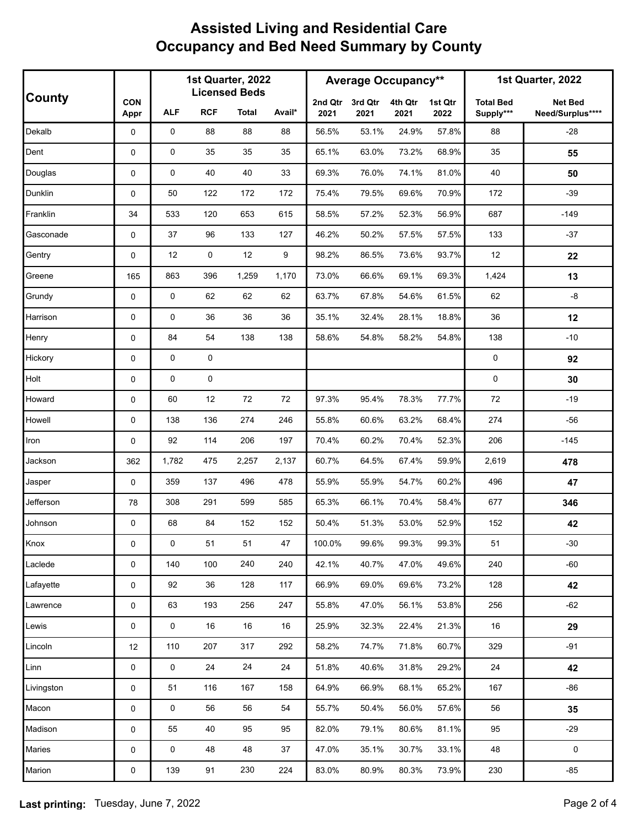|            |                    | 1st Quarter, 2022<br><b>Licensed Beds</b> |            |              |        | <b>Average Occupancy**</b> |                 |                 |                 | 1st Quarter, 2022             |                                    |
|------------|--------------------|-------------------------------------------|------------|--------------|--------|----------------------------|-----------------|-----------------|-----------------|-------------------------------|------------------------------------|
| County     | <b>CON</b><br>Appr | ALF                                       | <b>RCF</b> | <b>Total</b> | Avail* | 2nd Qtr<br>2021            | 3rd Qtr<br>2021 | 4th Qtr<br>2021 | 1st Qtr<br>2022 | <b>Total Bed</b><br>Supply*** | <b>Net Bed</b><br>Need/Surplus**** |
| Dekalb     | 0                  | 0                                         | 88         | 88           | 88     | 56.5%                      | 53.1%           | 24.9%           | 57.8%           | 88                            | $-28$                              |
| Dent       | 0                  | $\mathbf 0$                               | 35         | 35           | 35     | 65.1%                      | 63.0%           | 73.2%           | 68.9%           | 35                            | 55                                 |
| Douglas    | 0                  | $\mathbf 0$                               | 40         | 40           | 33     | 69.3%                      | 76.0%           | 74.1%           | 81.0%           | 40                            | 50                                 |
| Dunklin    | 0                  | 50                                        | 122        | 172          | 172    | 75.4%                      | 79.5%           | 69.6%           | 70.9%           | 172                           | $-39$                              |
| Franklin   | 34                 | 533                                       | 120        | 653          | 615    | 58.5%                      | 57.2%           | 52.3%           | 56.9%           | 687                           | $-149$                             |
| Gasconade  | 0                  | 37                                        | 96         | 133          | 127    | 46.2%                      | 50.2%           | 57.5%           | 57.5%           | 133                           | $-37$                              |
| Gentry     | 0                  | 12                                        | 0          | 12           | 9      | 98.2%                      | 86.5%           | 73.6%           | 93.7%           | 12                            | 22                                 |
| Greene     | 165                | 863                                       | 396        | 1,259        | 1,170  | 73.0%                      | 66.6%           | 69.1%           | 69.3%           | 1,424                         | 13                                 |
| Grundy     | 0                  | 0                                         | 62         | 62           | 62     | 63.7%                      | 67.8%           | 54.6%           | 61.5%           | 62                            | $-8$                               |
| Harrison   | 0                  | $\mathbf 0$                               | 36         | 36           | 36     | 35.1%                      | 32.4%           | 28.1%           | 18.8%           | 36                            | 12                                 |
| Henry      | 0                  | 84                                        | 54         | 138          | 138    | 58.6%                      | 54.8%           | 58.2%           | 54.8%           | 138                           | $-10$                              |
| Hickory    | 0                  | $\mathbf 0$                               | 0          |              |        |                            |                 |                 |                 | $\mathbf 0$                   | 92                                 |
| Holt       | 0                  | $\mathbf 0$                               | 0          |              |        |                            |                 |                 |                 | $\mathbf 0$                   | 30                                 |
| Howard     | 0                  | 60                                        | 12         | 72           | 72     | 97.3%                      | 95.4%           | 78.3%           | 77.7%           | 72                            | $-19$                              |
| Howell     | 0                  | 138                                       | 136        | 274          | 246    | 55.8%                      | 60.6%           | 63.2%           | 68.4%           | 274                           | $-56$                              |
| Iron       | 0                  | 92                                        | 114        | 206          | 197    | 70.4%                      | 60.2%           | 70.4%           | 52.3%           | 206                           | $-145$                             |
| Jackson    | 362                | 1,782                                     | 475        | 2,257        | 2,137  | 60.7%                      | 64.5%           | 67.4%           | 59.9%           | 2,619                         | 478                                |
| Jasper     | 0                  | 359                                       | 137        | 496          | 478    | 55.9%                      | 55.9%           | 54.7%           | 60.2%           | 496                           | 47                                 |
| Jefferson  | 78                 | 308                                       | 291        | 599          | 585    | 65.3%                      | 66.1%           | 70.4%           | 58.4%           | 677                           | 346                                |
| Johnson    | 0                  | 68                                        | 84         | 152          | 152    | 50.4%                      | 51.3%           | 53.0%           | 52.9%           | 152                           | 42                                 |
| Knox       | 0                  | $\mathsf{O}\xspace$                       | 51         | 51           | 47     | 100.0%                     | 99.6%           | 99.3%           | 99.3%           | 51                            | $-30$                              |
| Laclede    | 0                  | 140                                       | 100        | 240          | 240    | 42.1%                      | 40.7%           | 47.0%           | 49.6%           | 240                           | $-60$                              |
| Lafayette  | 0                  | 92                                        | 36         | 128          | 117    | 66.9%                      | 69.0%           | 69.6%           | 73.2%           | 128                           | 42                                 |
| Lawrence   | 0                  | 63                                        | 193        | 256          | 247    | 55.8%                      | 47.0%           | 56.1%           | 53.8%           | 256                           | $-62$                              |
| Lewis      | 0                  | $\mathsf{O}\xspace$                       | $16\,$     | 16           | 16     | 25.9%                      | 32.3%           | 22.4%           | 21.3%           | 16                            | 29                                 |
| Lincoln    | 12                 | 110                                       | 207        | 317          | 292    | 58.2%                      | 74.7%           | 71.8%           | 60.7%           | 329                           | $-91$                              |
| Linn       | 0                  | $\mathsf{O}\xspace$                       | 24         | 24           | 24     | 51.8%                      | 40.6%           | 31.8%           | 29.2%           | 24                            | 42                                 |
| Livingston | 0                  | 51                                        | 116        | 167          | 158    | 64.9%                      | 66.9%           | 68.1%           | 65.2%           | 167                           | $-86$                              |
| Macon      | 0                  | 0                                         | 56         | 56           | 54     | 55.7%                      | 50.4%           | 56.0%           | 57.6%           | 56                            | 35                                 |
| Madison    | 0                  | 55                                        | 40         | 95           | 95     | 82.0%                      | 79.1%           | 80.6%           | 81.1%           | 95                            | $-29$                              |
| Maries     | 0                  | $\mathsf{O}$                              | 48         | 48           | 37     | 47.0%                      | 35.1%           | 30.7%           | 33.1%           | 48                            | $\mathsf 0$                        |
| Marion     | 0                  | 139                                       | 91         | 230          | 224    | 83.0%                      | 80.9%           | 80.3%           | 73.9%           | 230                           | $-85$                              |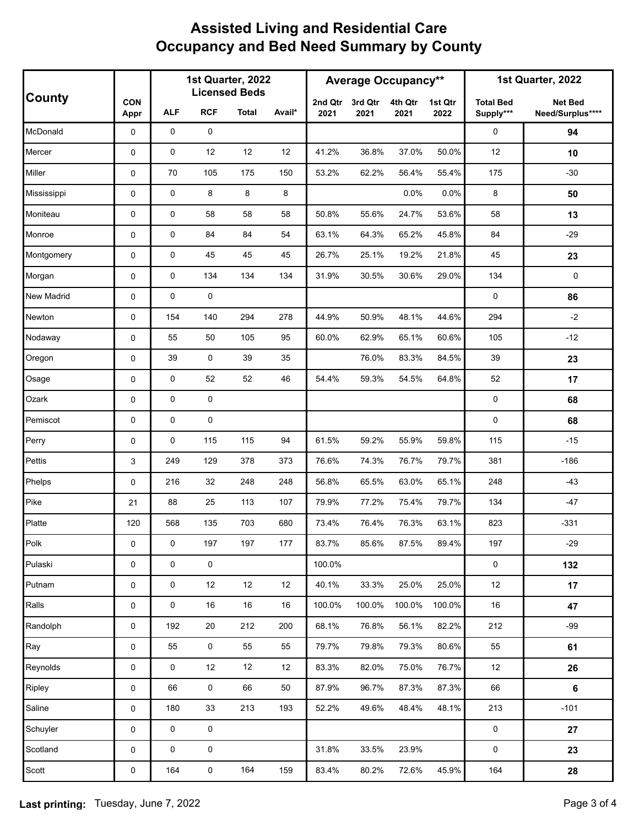|               |                    | 1st Quarter, 2022<br><b>Licensed Beds</b> |             |       |        | <b>Average Occupancy**</b> |                 |                 |                 | 1st Quarter, 2022             |                                    |
|---------------|--------------------|-------------------------------------------|-------------|-------|--------|----------------------------|-----------------|-----------------|-----------------|-------------------------------|------------------------------------|
| <b>County</b> | <b>CON</b><br>Appr | <b>ALF</b>                                | <b>RCF</b>  | Total | Avail* | 2nd Qtr<br>2021            | 3rd Qtr<br>2021 | 4th Qtr<br>2021 | 1st Qtr<br>2022 | <b>Total Bed</b><br>Supply*** | <b>Net Bed</b><br>Need/Surplus**** |
| McDonald      | 0                  | 0                                         | 0           |       |        |                            |                 |                 |                 | 0                             | 94                                 |
| Mercer        | 0                  | 0                                         | 12          | 12    | 12     | 41.2%                      | 36.8%           | 37.0%           | 50.0%           | 12                            | 10                                 |
| Miller        | 0                  | 70                                        | 105         | 175   | 150    | 53.2%                      | 62.2%           | 56.4%           | 55.4%           | 175                           | $-30$                              |
| Mississippi   | 0                  | $\mathbf 0$                               | 8           | 8     | 8      |                            |                 | 0.0%            | 0.0%            | 8                             | 50                                 |
| Moniteau      | 0                  | 0                                         | 58          | 58    | 58     | 50.8%                      | 55.6%           | 24.7%           | 53.6%           | 58                            | 13                                 |
| Monroe        | 0                  | 0                                         | 84          | 84    | 54     | 63.1%                      | 64.3%           | 65.2%           | 45.8%           | 84                            | $-29$                              |
| Montgomery    | 0                  | 0                                         | 45          | 45    | 45     | 26.7%                      | 25.1%           | 19.2%           | 21.8%           | 45                            | 23                                 |
| Morgan        | 0                  | $\mathbf 0$                               | 134         | 134   | 134    | 31.9%                      | 30.5%           | 30.6%           | 29.0%           | 134                           | $\mathbf 0$                        |
| New Madrid    | 0                  | 0                                         | $\pmb{0}$   |       |        |                            |                 |                 |                 | 0                             | 86                                 |
| Newton        | 0                  | 154                                       | 140         | 294   | 278    | 44.9%                      | 50.9%           | 48.1%           | 44.6%           | 294                           | $-2$                               |
| Nodaway       | 0                  | 55                                        | 50          | 105   | 95     | 60.0%                      | 62.9%           | 65.1%           | 60.6%           | 105                           | $-12$                              |
| Oregon        | 0                  | 39                                        | $\mathbf 0$ | 39    | 35     |                            | 76.0%           | 83.3%           | 84.5%           | 39                            | 23                                 |
| Osage         | 0                  | 0                                         | 52          | 52    | 46     | 54.4%                      | 59.3%           | 54.5%           | 64.8%           | 52                            | 17                                 |
| Ozark         | 0                  | $\mathbf 0$                               | $\pmb{0}$   |       |        |                            |                 |                 |                 | 0                             | 68                                 |
| Pemiscot      | 0                  | 0                                         | $\pmb{0}$   |       |        |                            |                 |                 |                 | 0                             | 68                                 |
| Perry         | 0                  | 0                                         | 115         | 115   | 94     | 61.5%                      | 59.2%           | 55.9%           | 59.8%           | 115                           | $-15$                              |
| Pettis        | 3                  | 249                                       | 129         | 378   | 373    | 76.6%                      | 74.3%           | 76.7%           | 79.7%           | 381                           | $-186$                             |
| Phelps        | 0                  | 216                                       | 32          | 248   | 248    | 56.8%                      | 65.5%           | 63.0%           | 65.1%           | 248                           | $-43$                              |
| Pike          | 21                 | 88                                        | 25          | 113   | 107    | 79.9%                      | 77.2%           | 75.4%           | 79.7%           | 134                           | $-47$                              |
| Platte        | 120                | 568                                       | 135         | 703   | 680    | 73.4%                      | 76.4%           | 76.3%           | 63.1%           | 823                           | $-331$                             |
| Polk          | $\mathsf 0$        | 0                                         | 197         | 197   | 177    | 83.7%                      | 85.6%           | 87.5%           | 89.4%           | 197                           | $-29$                              |
| Pulaski       | 0                  | $\pmb{0}$                                 | $\mathsf 0$ |       |        | 100.0%                     |                 |                 |                 | 0                             | 132                                |
| Putnam        | 0                  | 0                                         | $12\,$      | 12    | 12     | 40.1%                      | 33.3%           | 25.0%           | 25.0%           | 12                            | 17                                 |
| Ralls         | 0                  | 0                                         | 16          | 16    | 16     | 100.0%                     | 100.0%          | 100.0%          | 100.0%          | 16                            | 47                                 |
| Randolph      | 0                  | 192                                       | 20          | 212   | 200    | 68.1%                      | 76.8%           | 56.1%           | 82.2%           | 212                           | $-99$                              |
| Ray           | 0                  | 55                                        | 0           | 55    | 55     | 79.7%                      | 79.8%           | 79.3%           | 80.6%           | 55                            | 61                                 |
| Reynolds      | 0                  | 0                                         | 12          | 12    | 12     | 83.3%                      | 82.0%           | 75.0%           | 76.7%           | 12                            | 26                                 |
| Ripley        | 0                  | 66                                        | $\pmb{0}$   | 66    | 50     | 87.9%                      | 96.7%           | 87.3%           | 87.3%           | 66                            | 6                                  |
| Saline        | 0                  | 180                                       | 33          | 213   | 193    | 52.2%                      | 49.6%           | 48.4%           | 48.1%           | 213                           | $-101$                             |
| Schuyler      | 0                  | 0                                         | $\mathsf 0$ |       |        |                            |                 |                 |                 | 0                             | 27                                 |
| Scotland      | 0                  | $\mathbf 0$                               | $\mathsf 0$ |       |        | 31.8%                      | 33.5%           | 23.9%           |                 | 0                             | 23                                 |
| Scott         | 0                  | 164                                       | $\pmb{0}$   | 164   | 159    | 83.4%                      | 80.2%           | 72.6%           | 45.9%           | 164                           | ${\bf 28}$                         |